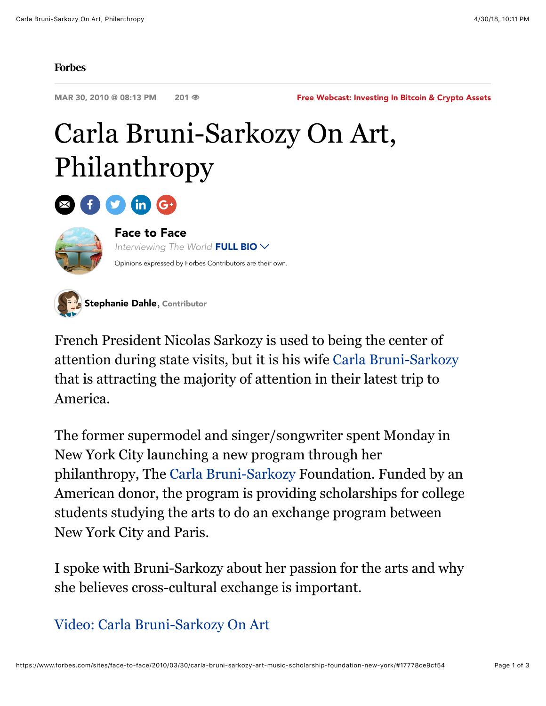## **Forbes**

MAR 30, 2010 @ 08:13 PM 201 <sup>®</sup>

[Free Webcast: Investing In Bitcoin & Crypto Assets](http://bit.ly/2vNTcP8)

## Carla Bruni-Sarkozy On Art, Philanthropy



## [Face to Face](http://www.forbes.com/sites/face-to-face/)

*Interviewing The World* FULL BIO Opinions expressed by Forbes Contributors are their own.



French President Nicolas Sarkozy is used to being the center of attention during state visits, but it is his wife [Carla Bruni-Sarkozy](http://www.forbes.com/profile/carla-bruni-sarkozy?partner=forbesblogs) that is attracting the majority of attention in their latest trip to America.

The former supermodel and singer/songwriter spent Monday in New York City launching a new program through her philanthropy, The [Carla Bruni-Sarkozy](http://www.forbes.com/profile/carla-bruni-sarkozy?partner=forbesblogs) Foundation. Funded by an American donor, the program is providing scholarships for college students studying the arts to do an exchange program between New York City and Paris.

I spoke with Bruni-Sarkozy about her passion for the arts and why she believes cross-cultural exchange is important.

[Video: Carla Bruni-Sarkozy On Art](http://video.forbes.com/fvn/forbeswoman/carla-bruni-sarkozy-philanthropy-arts)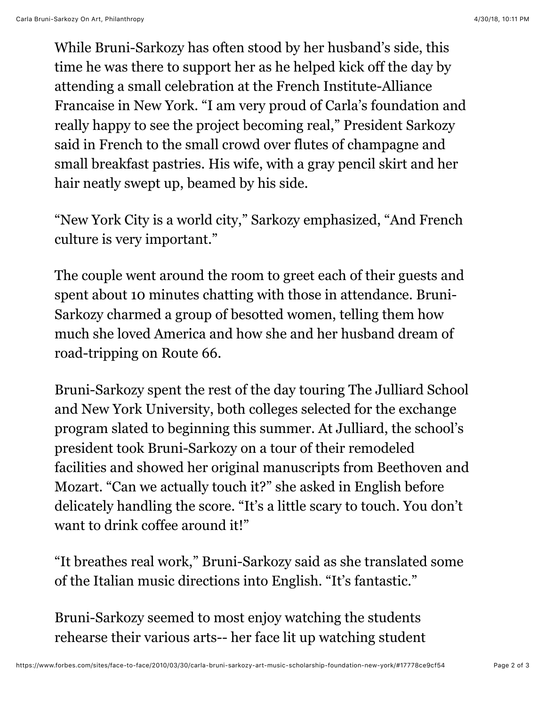While Bruni-Sarkozy has often stood by her husband's side, this time he was there to support her as he helped kick off the day by attending a small celebration at the French Institute-Alliance Francaise in New York. "I am very proud of Carla's foundation and really happy to see the project becoming real," President Sarkozy said in French to the small crowd over flutes of champagne and small breakfast pastries. His wife, with a gray pencil skirt and her hair neatly swept up, beamed by his side.

"New York City is a world city," Sarkozy emphasized, "And French culture is very important."

The couple went around the room to greet each of their guests and spent about 10 minutes chatting with those in attendance. Bruni-Sarkozy charmed a group of besotted women, telling them how much she loved America and how she and her husband dream of road-tripping on Route 66.

Bruni-Sarkozy spent the rest of the day touring The Julliard School and New York University, both colleges selected for the exchange program slated to beginning this summer. At Julliard, the school's president took Bruni-Sarkozy on a tour of their remodeled facilities and showed her original manuscripts from Beethoven and Mozart. "Can we actually touch it?" she asked in English before delicately handling the score. "It's a little scary to touch. You don't want to drink coffee around it!"

"It breathes real work," Bruni-Sarkozy said as she translated some of the Italian music directions into English. "It's fantastic."

Bruni-Sarkozy seemed to most enjoy watching the students rehearse their various arts-- her face lit up watching student